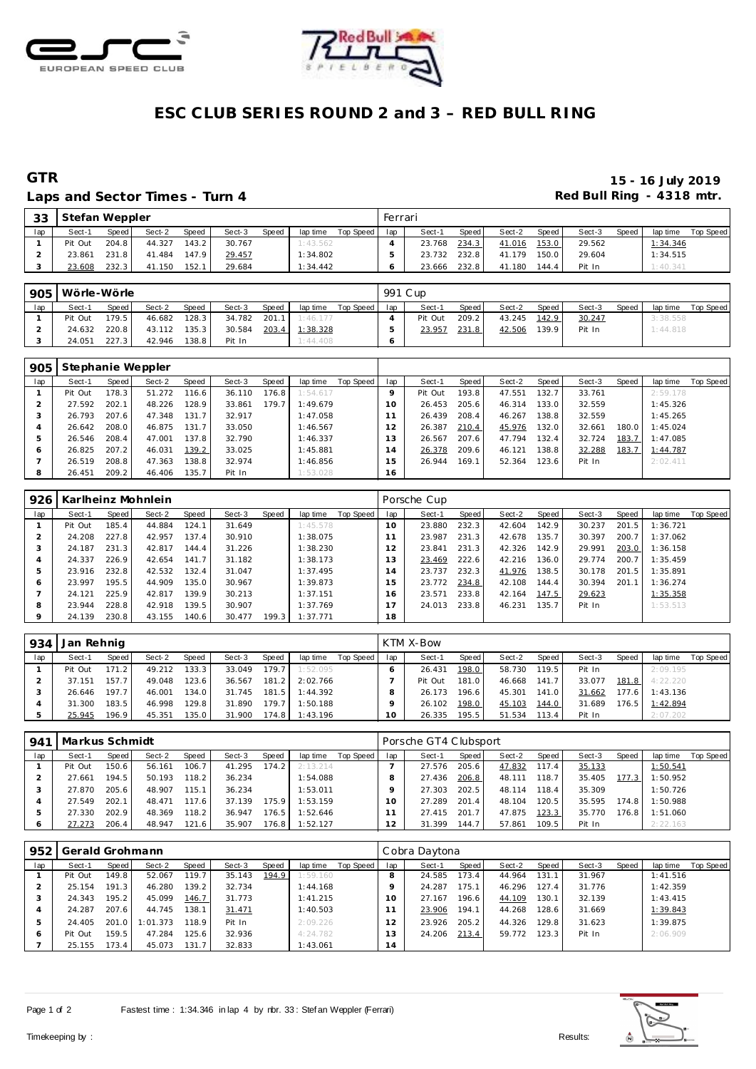



## **ESC CLUB SERIES ROUND 2 and 3 – RED BULL RING**

### Laps and Sector Times - Turn 4 **Example 20 and Sector Times - Turn 4 Red Bull Ring - 4318 mtr.**

# **GTR 15 - 16 July 2019**

| 33  | Stefan Weppler |       |        |       |        |       |          |           | Ferrari |        |       |        |       |        |       |          |           |
|-----|----------------|-------|--------|-------|--------|-------|----------|-----------|---------|--------|-------|--------|-------|--------|-------|----------|-----------|
| lap | Sect-1         | Speed | Sect-2 | Speed | Sect-3 | Speed | lap time | Top Speed | lap     | Sect-1 | Speed | Sect-2 | Speed | Sect-3 | Speed | lap time | Top Speed |
|     | Pit Out        | 204.8 | 44.327 | 143.2 | 30.767 |       | 1:43.562 |           |         | 23.768 | 234.3 | 41.016 | 153.0 | 29.562 |       | 1:34.346 |           |
|     | 23.861         | 231.8 | 41.484 | 147.9 | 29.457 |       | 1:34.802 |           |         | 23.732 | 232.8 | 41.179 | 150.0 | 29.604 |       | 1:34.515 |           |
|     | 23.608         | 232.3 | 41.150 | 152.1 | 29.684 |       | 1:34.442 |           |         | 23.666 | 232.8 | 41.180 | 144.4 | Pit In |       | 1:40.341 |           |

| 905 | Wörle-Wörle |       |        |                    |        |       |          |           | 991 C up |         |       |        |        |        |       |          |           |
|-----|-------------|-------|--------|--------------------|--------|-------|----------|-----------|----------|---------|-------|--------|--------|--------|-------|----------|-----------|
| lap | Sect-1      | Speed | Sect-2 | Speed              | Sect-3 | Speed | lap time | Top Speed | lap      | Sect-1  | Speed | Sect-2 | Speed, | Sect-3 | Speed | lap time | Top Speed |
|     | Pit Out     | 179.5 | 46.682 | 128.3              | 34.782 | 201.1 | 1:46.177 |           |          | Pit Out | 209.2 | 43.245 | 142.9  | 30.247 |       | 3:38.558 |           |
|     | 24.632      | 220.8 | 43.112 | 135.3              | 30.584 | 203.4 | 1:38.328 |           |          | 23.957  | 231.8 | 42.506 | 139.9  | Pit In |       | 1:44.818 |           |
|     | 24.051      | 227.3 | 42.946 | 138.8 <sub>1</sub> | Pit In |       | 1:44.408 |           |          |         |       |        |        |        |       |          |           |

| 905 |         |       | Stephanie Weppler |       |        |       |          |           |                |         |       |        |       |        |       |          |           |
|-----|---------|-------|-------------------|-------|--------|-------|----------|-----------|----------------|---------|-------|--------|-------|--------|-------|----------|-----------|
| lap | Sect-1  | Speed | Sect-2            | Speed | Sect-3 | Speed | lap time | Top Speed | lap            | Sect-1  | Speed | Sect-2 | Speed | Sect-3 | Speed | lap time | Top Speed |
|     | Pit Out | 178.3 | 51.272            | 116.6 | 36.110 | 176.8 | 1:54.617 |           |                | Pit Out | 193.8 | 47.551 | 132.7 | 33.761 |       | 2:59.178 |           |
|     | 27.592  | 202.1 | 48.226            | 128.9 | 33.861 | 179.7 | 1:49.679 |           | 10.            | 26.453  | 205.6 | 46.314 | 133.0 | 32.559 |       | 1:45.326 |           |
|     | 26.793  | 207.6 | 47.348            | 131.7 | 32.917 |       | 1:47.058 |           |                | 26.439  | 208.4 | 46.267 | 138.8 | 32.559 |       | 1:45.265 |           |
|     | 26.642  | 208.0 | 46.875            | 131.7 | 33.050 |       | 1:46.567 |           | $\overline{2}$ | 26.387  | 210.4 | 45.976 | 132.0 | 32.661 | 180.0 | 1:45.024 |           |
|     | 26.546  | 208.4 | 47.001            | 137.8 | 32.790 |       | 1:46.337 |           | 3              | 26.567  | 207.6 | 47.794 | 132.4 | 32.724 | 183.7 | 1:47.085 |           |
| ō   | 26.825  | 207.2 | 46.031            | 139.2 | 33.025 |       | 1:45.881 |           | 4              | 26.378  | 209.6 | 46.121 | 138.8 | 32.288 | 183.7 | 1:44.787 |           |
|     | 26.519  | 208.8 | 47.363            | 138.8 | 32.974 |       | 1:46.856 |           | 5              | 26.944  | 169.1 | 52.364 | 123.6 | Pit In |       | 2:02.411 |           |
| 8   | 26.451  | 209.2 | 46.406            | 135.7 | Pit In |       | 1:53.028 |           | 16             |         |       |        |       |        |       |          |           |

| 926 |         |       | Karlheinz Mohnlein |       |        |       |          |           |     | Porsche Cup |       |        |         |        |       |          |           |
|-----|---------|-------|--------------------|-------|--------|-------|----------|-----------|-----|-------------|-------|--------|---------|--------|-------|----------|-----------|
| lap | Sect-1  | Speed | Sect-2             | Speed | Sect-3 | Speed | lap time | Top Speed | lap | Sect-1      | Speed | Sect-2 | Speed ! | Sect-3 | Speed | lap time | Top Speed |
|     | Pit Out | 185.4 | 44.884             | 124.1 | 31.649 |       | 1:45.578 |           | 10  | 23.880      | 232.3 | 42.604 | 142.9   | 30.237 | 201.5 | 1:36.721 |           |
|     | 24.208  | 227.8 | 42.957             | 137.4 | 30.910 |       | 1:38.075 |           |     | 23.987      | 231.3 | 42.678 | 135.7   | 30.397 | 200.7 | 1:37.062 |           |
| 3   | 24.187  | 231.3 | 42.817             | 144.4 | 31.226 |       | 1:38.230 |           | 12  | 23.841      | 231.3 | 42.326 | 142.9   | 29.991 | 203.0 | 1:36.158 |           |
| 4   | 24.337  | 226.9 | 42.654             | 141.7 | 31.182 |       | 1:38.173 |           | 13  | 23.469      | 222.6 | 42.216 | 136.0   | 29.774 | 200.7 | 1:35.459 |           |
| 5   | 23.916  | 232.8 | 42.532             | 132.4 | 31.047 |       | 1:37.495 |           | 14  | 23.737      | 232.3 | 41.976 | 138.5   | 30.178 | 201.5 | 1:35.891 |           |
| 6   | 23.997  | 195.5 | 44.909             | 135.0 | 30.967 |       | 1:39.873 |           | 15  | 23.772      | 234.8 | 42.108 | 144.4   | 30.394 | 201.1 | 1:36.274 |           |
|     | 24.121  | 225.9 | 42.817             | 139.9 | 30.213 |       | 1:37.151 |           | 16  | 23.571      | 233.8 | 42.164 | 147.5   | 29.623 |       | 1:35.358 |           |
| 8   | 23.944  | 228.8 | 42.918             | 139.5 | 30.907 |       | 1:37.769 |           |     | 24.013      | 233.8 | 46.231 | 135.7   | Pit In |       | 1:53.513 |           |
| 9   | 24.139  | 230.8 | 43.155             | 140.6 | 30.477 | 199.3 | 1:37.771 |           | 18  |             |       |        |         |        |       |          |           |

| 934 | Jan Rehnig |       |        |       |        |              |          |           |     | KTM X-Bow |       |        |       |        |       |          |           |
|-----|------------|-------|--------|-------|--------|--------------|----------|-----------|-----|-----------|-------|--------|-------|--------|-------|----------|-----------|
| lap | Sect-1     | Speed | Sect-2 | Speed | Sect-3 | <b>Speed</b> | lap time | Top Speed | lap | Sect-1    | Speed | Sect-2 | Speed | Sect-3 | Speed | lap time | Top Speed |
|     | Pit Out    | 171.2 | 49.212 | 133.3 | 33.049 | 179.7        | 1:52.095 |           |     | 26.431    | 198.0 | 58.730 | 119.5 | Pit In |       | 2:09.195 |           |
|     | 37.151     | 157.7 | 49.048 | 123.6 | 36.567 | 181.2        | 2:02.766 |           |     | Pit Out   | 181.0 | 46.668 | 141.7 | 33.077 | 181.8 | 4:22.220 |           |
|     | 26.646     | 197.7 | 46.001 | 134.0 | 31.745 | 181.5        | 1:44.392 |           |     | 26.173    | 196.6 | 45.301 | 141.0 | 31.662 | 177.6 | 1:43.136 |           |
|     | 31.300     | 183.5 | 46.998 | 129.8 | 31.890 | 179.7        | 1:50.188 |           |     | 26.102    | 198.0 | 45.103 | 144.0 | 31.689 | 176.5 | 1:42.894 |           |
|     | 25.945     | 196.9 | 45.351 | 135.0 | 31.900 | 174.8        | 1:43.196 |           |     | 26.335    | 195.5 | 51.534 | 113.4 | Pit In |       | 2:07.202 |           |

| 941 | Markus Schmidt |       |        |       |        |        |          |           |     | Porsche GT4 Clubsport |       |        |       |        |       |          |           |
|-----|----------------|-------|--------|-------|--------|--------|----------|-----------|-----|-----------------------|-------|--------|-------|--------|-------|----------|-----------|
| lap | Sect-1         | Speed | Sect-2 | Speed | Sect-3 | Speed  | lap time | Top Speed | lap | Sect-1                | Speed | Sect-2 | Speed | Sect-3 | Speed | lap time | Top Speed |
|     | Pit Out        | 150.6 | 56.161 | 106.7 | 41.295 | 174.2  | 2:13.214 |           |     | 27.576                | 205.6 | 47.832 | 117.4 | 35.133 |       | 1:50.541 |           |
|     | 27.661         | 194.5 | 50.193 | 118.2 | 36.234 |        | 1:54.088 |           |     | 27.436                | 206.8 | 48.111 | 118.7 | 35.405 | 177.3 | 1:50.952 |           |
|     | 27.870         | 205.6 | 48.907 | 115.1 | 36.234 |        | 1:53.011 |           |     | 27.303                | 202.5 | 48.114 | 118.4 | 35.309 |       | 1:50.726 |           |
|     | 27.549         | 202.1 | 48.471 | 117.6 | 37.139 | 175.9  | 1:53.159 |           |     | 27.289                | 201.4 | 48.104 | 120.5 | 35.595 | 174.8 | 1:50.988 |           |
|     | 27.330         | 202.9 | 48.369 | 118.2 | 36.947 | 176.51 | 1:52.646 |           |     | 27.415                | 201.7 | 47.875 | 123.3 | 35.770 | 176.8 | 1:51.060 |           |
|     | 27.273         | 206.4 | 48.947 | 121.6 | 35.907 | 176.8  | 1:52.127 |           | 12  | 31.399                | 144.7 | 57.861 | 109.5 | Pit In |       | 2:22.163 |           |

| 952 | Gerald Grohmann |       |          |       |        |       |          |           |          | Cobra Daytona |       |        |       |        |       |          |           |
|-----|-----------------|-------|----------|-------|--------|-------|----------|-----------|----------|---------------|-------|--------|-------|--------|-------|----------|-----------|
| lap | Sect-1          | Speed | Sect-2   | Speed | Sect-3 | Speed | lap time | Top Speed | lap      | Sect-1        | Speed | Sect-2 | Speed | Sect-3 | Speed | lap time | Top Speed |
|     | Pit Out         | 149.8 | 52.067   | 119.7 | 35.143 | 194.9 | 1:59.160 |           |          | 24.585        | 173.4 | 44.964 | 131.  | 31.967 |       | 1:41.516 |           |
|     | 25.154          | 191.3 | 46.280   | 139.2 | 32.734 |       | 1:44.168 |           |          | 24.287        | 175.1 | 46.296 | 127.4 | 31.776 |       | 1:42.359 |           |
| - 2 | 24.343          | 195.2 | 45.099   | 146.7 | 31.773 |       | 1:41.215 |           | $10^{-}$ | 27.167        | 196.6 | 44.109 | 130.1 | 32.139 |       | 1:43.415 |           |
|     | 24.287          | 207.6 | 44.745   | 138.1 | 31.471 |       | 1:40.503 |           |          | 23.906        | 194.1 | 44.268 | 128.6 | 31.669 |       | 1:39.843 |           |
| Þ   | 24.405          | 201.0 | 1:01.373 | 118.9 | Pit In |       | 2:09.226 |           | 2        | 23.926        | 205.2 | 44.326 | 129.8 | 31.623 |       | 1:39.875 |           |
|     | Pit Out         | 159.5 | 47.284   | 125.6 | 32.936 |       | 4:24.782 |           | 3        | 24.206        | 213.4 | 59.772 | 123.3 | Pit In |       | 2:06.909 |           |
|     | 25.155          | 173.4 | 45.073   | 131.7 | 32.833 |       | 1:43.061 |           | 14       |               |       |        |       |        |       |          |           |